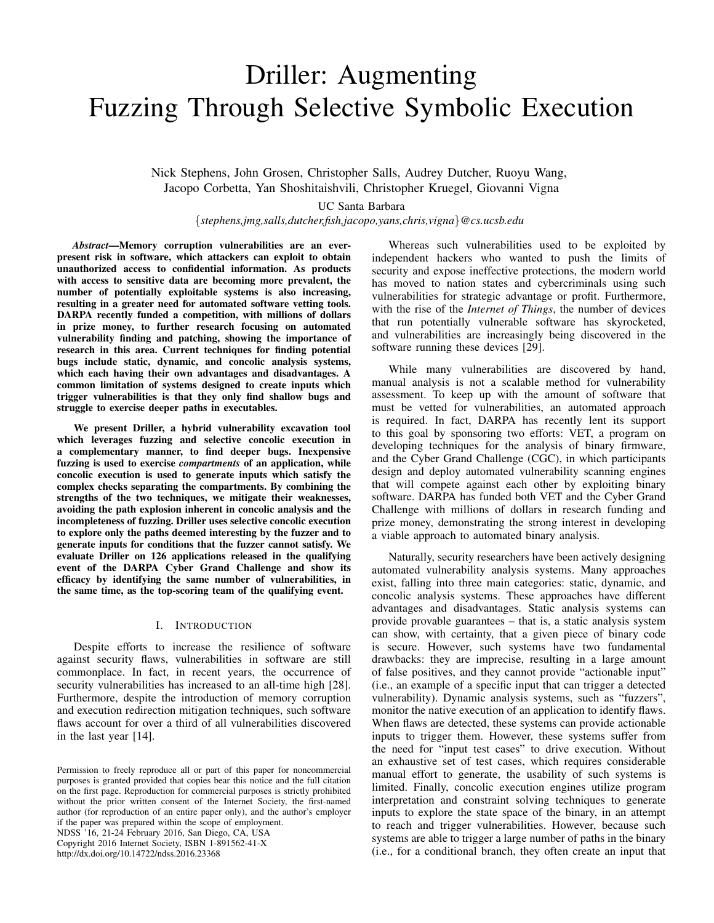# Driller: Augmenting Fuzzing Through Selective Symbolic Execution

Nick Stephens, John Grosen, Christopher Salls, Audrey Dutcher, Ruoyu Wang, Jacopo Corbetta, Yan Shoshitaishvili, Christopher Kruegel, Giovanni Vigna

UC Santa Barbara

{*stephens,jmg,salls,dutcher,fish,jacopo,yans,chris,vigna*}*@cs.ucsb.edu*

*Abstract*—Memory corruption vulnerabilities are an everpresent risk in software, which attackers can exploit to obtain unauthorized access to confidential information. As products with access to sensitive data are becoming more prevalent, the number of potentially exploitable systems is also increasing, resulting in a greater need for automated software vetting tools. DARPA recently funded a competition, with millions of dollars in prize money, to further research focusing on automated vulnerability finding and patching, showing the importance of research in this area. Current techniques for finding potential bugs include static, dynamic, and concolic analysis systems, which each having their own advantages and disadvantages. A common limitation of systems designed to create inputs which trigger vulnerabilities is that they only find shallow bugs and struggle to exercise deeper paths in executables.

We present Driller, a hybrid vulnerability excavation tool which leverages fuzzing and selective concolic execution in a complementary manner, to find deeper bugs. Inexpensive fuzzing is used to exercise *compartments* of an application, while concolic execution is used to generate inputs which satisfy the complex checks separating the compartments. By combining the strengths of the two techniques, we mitigate their weaknesses, avoiding the path explosion inherent in concolic analysis and the incompleteness of fuzzing. Driller uses selective concolic execution to explore only the paths deemed interesting by the fuzzer and to generate inputs for conditions that the fuzzer cannot satisfy. We evaluate Driller on 126 applications released in the qualifying event of the DARPA Cyber Grand Challenge and show its efficacy by identifying the same number of vulnerabilities, in the same time, as the top-scoring team of the qualifying event.

### I. INTRODUCTION

Despite efforts to increase the resilience of software against security flaws, vulnerabilities in software are still commonplace. In fact, in recent years, the occurrence of security vulnerabilities has increased to an all-time high [28]. Furthermore, despite the introduction of memory corruption and execution redirection mitigation techniques, such software flaws account for over a third of all vulnerabilities discovered in the last year [14].

NDSS '16, 21-24 February 2016, San Diego, CA, USA Copyright 2016 Internet Society, ISBN 1-891562-41-X

http://dx.doi.org/10.14722/ndss.2016.23368

Whereas such vulnerabilities used to be exploited by independent hackers who wanted to push the limits of security and expose ineffective protections, the modern world has moved to nation states and cybercriminals using such vulnerabilities for strategic advantage or profit. Furthermore, with the rise of the *Internet of Things*, the number of devices that run potentially vulnerable software has skyrocketed, and vulnerabilities are increasingly being discovered in the software running these devices [29].

While many vulnerabilities are discovered by hand, manual analysis is not a scalable method for vulnerability assessment. To keep up with the amount of software that must be vetted for vulnerabilities, an automated approach is required. In fact, DARPA has recently lent its support to this goal by sponsoring two efforts: VET, a program on developing techniques for the analysis of binary firmware, and the Cyber Grand Challenge (CGC), in which participants design and deploy automated vulnerability scanning engines that will compete against each other by exploiting binary software. DARPA has funded both VET and the Cyber Grand Challenge with millions of dollars in research funding and prize money, demonstrating the strong interest in developing a viable approach to automated binary analysis.

Naturally, security researchers have been actively designing automated vulnerability analysis systems. Many approaches exist, falling into three main categories: static, dynamic, and concolic analysis systems. These approaches have different advantages and disadvantages. Static analysis systems can provide provable guarantees – that is, a static analysis system can show, with certainty, that a given piece of binary code is secure. However, such systems have two fundamental drawbacks: they are imprecise, resulting in a large amount of false positives, and they cannot provide "actionable input" (i.e., an example of a specific input that can trigger a detected vulnerability). Dynamic analysis systems, such as "fuzzers", monitor the native execution of an application to identify flaws. When flaws are detected, these systems can provide actionable inputs to trigger them. However, these systems suffer from the need for "input test cases" to drive execution. Without an exhaustive set of test cases, which requires considerable manual effort to generate, the usability of such systems is limited. Finally, concolic execution engines utilize program interpretation and constraint solving techniques to generate inputs to explore the state space of the binary, in an attempt to reach and trigger vulnerabilities. However, because such systems are able to trigger a large number of paths in the binary (i.e., for a conditional branch, they often create an input that

Permission to freely reproduce all or part of this paper for noncommercial purposes is granted provided that copies bear this notice and the full citation on the first page. Reproduction for commercial purposes is strictly prohibited without the prior written consent of the Internet Society, the first-named author (for reproduction of an entire paper only), and the author's employer if the paper was prepared within the scope of employment.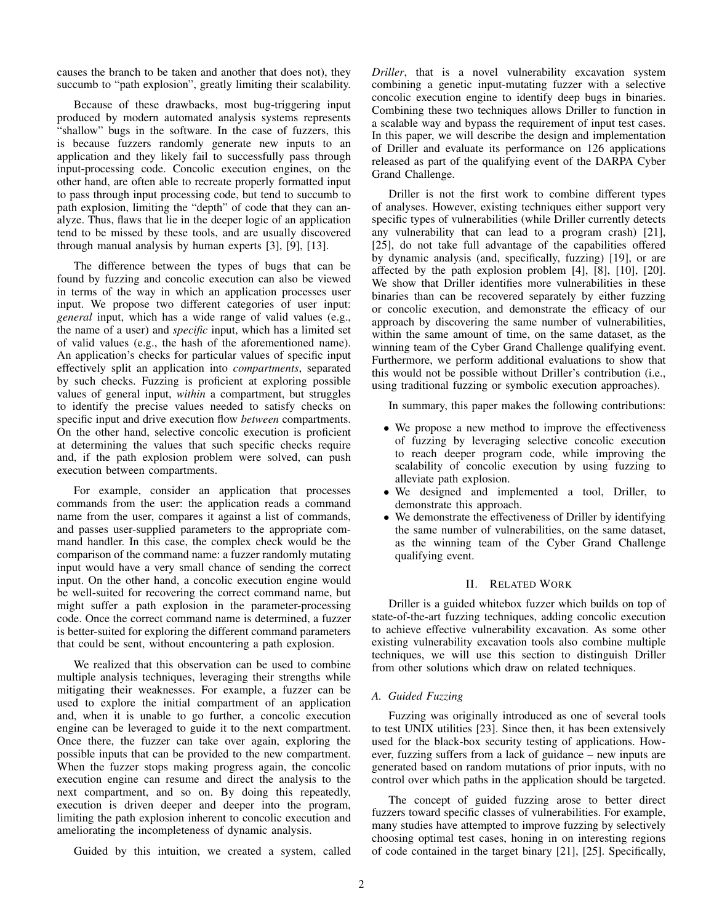causes the branch to be taken and another that does not), they succumb to "path explosion", greatly limiting their scalability.

Because of these drawbacks, most bug-triggering input produced by modern automated analysis systems represents "shallow" bugs in the software. In the case of fuzzers, this is because fuzzers randomly generate new inputs to an application and they likely fail to successfully pass through input-processing code. Concolic execution engines, on the other hand, are often able to recreate properly formatted input to pass through input processing code, but tend to succumb to path explosion, limiting the "depth" of code that they can analyze. Thus, flaws that lie in the deeper logic of an application tend to be missed by these tools, and are usually discovered through manual analysis by human experts [3], [9], [13].

The difference between the types of bugs that can be found by fuzzing and concolic execution can also be viewed in terms of the way in which an application processes user input. We propose two different categories of user input: *general* input, which has a wide range of valid values (e.g., the name of a user) and *specific* input, which has a limited set of valid values (e.g., the hash of the aforementioned name). An application's checks for particular values of specific input effectively split an application into *compartments*, separated by such checks. Fuzzing is proficient at exploring possible values of general input, *within* a compartment, but struggles to identify the precise values needed to satisfy checks on specific input and drive execution flow *between* compartments. On the other hand, selective concolic execution is proficient at determining the values that such specific checks require and, if the path explosion problem were solved, can push execution between compartments.

For example, consider an application that processes commands from the user: the application reads a command name from the user, compares it against a list of commands, and passes user-supplied parameters to the appropriate command handler. In this case, the complex check would be the comparison of the command name: a fuzzer randomly mutating input would have a very small chance of sending the correct input. On the other hand, a concolic execution engine would be well-suited for recovering the correct command name, but might suffer a path explosion in the parameter-processing code. Once the correct command name is determined, a fuzzer is better-suited for exploring the different command parameters that could be sent, without encountering a path explosion.

We realized that this observation can be used to combine multiple analysis techniques, leveraging their strengths while mitigating their weaknesses. For example, a fuzzer can be used to explore the initial compartment of an application and, when it is unable to go further, a concolic execution engine can be leveraged to guide it to the next compartment. Once there, the fuzzer can take over again, exploring the possible inputs that can be provided to the new compartment. When the fuzzer stops making progress again, the concolic execution engine can resume and direct the analysis to the next compartment, and so on. By doing this repeatedly, execution is driven deeper and deeper into the program, limiting the path explosion inherent to concolic execution and ameliorating the incompleteness of dynamic analysis.

Guided by this intuition, we created a system, called

*Driller*, that is a novel vulnerability excavation system combining a genetic input-mutating fuzzer with a selective concolic execution engine to identify deep bugs in binaries. Combining these two techniques allows Driller to function in a scalable way and bypass the requirement of input test cases. In this paper, we will describe the design and implementation of Driller and evaluate its performance on 126 applications released as part of the qualifying event of the DARPA Cyber Grand Challenge.

Driller is not the first work to combine different types of analyses. However, existing techniques either support very specific types of vulnerabilities (while Driller currently detects any vulnerability that can lead to a program crash) [21], [25], do not take full advantage of the capabilities offered by dynamic analysis (and, specifically, fuzzing) [19], or are affected by the path explosion problem [4], [8], [10], [20]. We show that Driller identifies more vulnerabilities in these binaries than can be recovered separately by either fuzzing or concolic execution, and demonstrate the efficacy of our approach by discovering the same number of vulnerabilities, within the same amount of time, on the same dataset, as the winning team of the Cyber Grand Challenge qualifying event. Furthermore, we perform additional evaluations to show that this would not be possible without Driller's contribution (i.e., using traditional fuzzing or symbolic execution approaches).

In summary, this paper makes the following contributions:

- We propose a new method to improve the effectiveness of fuzzing by leveraging selective concolic execution to reach deeper program code, while improving the scalability of concolic execution by using fuzzing to alleviate path explosion.
- We designed and implemented a tool, Driller, to demonstrate this approach.
- We demonstrate the effectiveness of Driller by identifying the same number of vulnerabilities, on the same dataset, as the winning team of the Cyber Grand Challenge qualifying event.

# II. RELATED WORK

Driller is a guided whitebox fuzzer which builds on top of state-of-the-art fuzzing techniques, adding concolic execution to achieve effective vulnerability excavation. As some other existing vulnerability excavation tools also combine multiple techniques, we will use this section to distinguish Driller from other solutions which draw on related techniques.

## *A. Guided Fuzzing*

Fuzzing was originally introduced as one of several tools to test UNIX utilities [23]. Since then, it has been extensively used for the black-box security testing of applications. However, fuzzing suffers from a lack of guidance – new inputs are generated based on random mutations of prior inputs, with no control over which paths in the application should be targeted.

The concept of guided fuzzing arose to better direct fuzzers toward specific classes of vulnerabilities. For example, many studies have attempted to improve fuzzing by selectively choosing optimal test cases, honing in on interesting regions of code contained in the target binary [21], [25]. Specifically,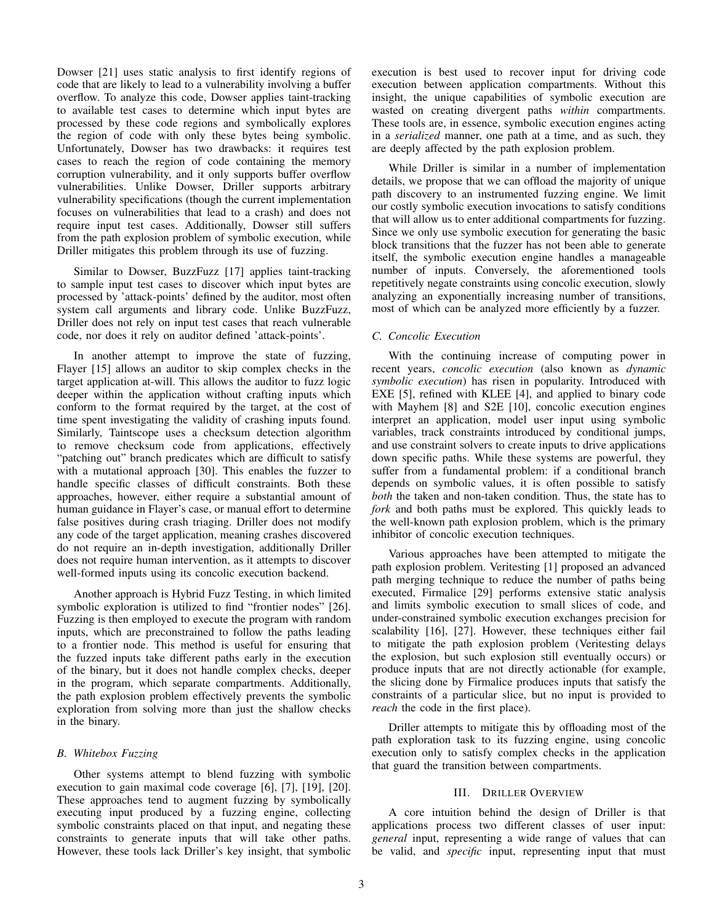Dowser [21] uses static analysis to first identify regions of code that are likely to lead to a vulnerability involving a buffer overflow. To analyze this code, Dowser applies taint-tracking to available test cases to determine which input bytes are processed by these code regions and symbolically explores the region of code with only these bytes being symbolic. Unfortunately, Dowser has two drawbacks: it requires test cases to reach the region of code containing the memory corruption vulnerability, and it only supports buffer overflow vulnerabilities. Unlike Dowser, Driller supports arbitrary vulnerability specifications (though the current implementation focuses on vulnerabilities that lead to a crash) and does not require input test cases. Additionally, Dowser still suffers from the path explosion problem of symbolic execution, while Driller mitigates this problem through its use of fuzzing.

Similar to Dowser, BuzzFuzz [17] applies taint-tracking to sample input test cases to discover which input bytes are processed by 'attack-points' defined by the auditor, most often system call arguments and library code. Unlike BuzzFuzz, Driller does not rely on input test cases that reach vulnerable code, nor does it rely on auditor defined 'attack-points'.

In another attempt to improve the state of fuzzing, Flayer [15] allows an auditor to skip complex checks in the target application at-will. This allows the auditor to fuzz logic deeper within the application without crafting inputs which conform to the format required by the target, at the cost of time spent investigating the validity of crashing inputs found. Similarly, Taintscope uses a checksum detection algorithm to remove checksum code from applications, effectively "patching out" branch predicates which are difficult to satisfy with a mutational approach [30]. This enables the fuzzer to handle specific classes of difficult constraints. Both these approaches, however, either require a substantial amount of human guidance in Flayer's case, or manual effort to determine false positives during crash triaging. Driller does not modify any code of the target application, meaning crashes discovered do not require an in-depth investigation, additionally Driller does not require human intervention, as it attempts to discover well-formed inputs using its concolic execution backend.

Another approach is Hybrid Fuzz Testing, in which limited symbolic exploration is utilized to find "frontier nodes" [26]. Fuzzing is then employed to execute the program with random inputs, which are preconstrained to follow the paths leading to a frontier node. This method is useful for ensuring that the fuzzed inputs take different paths early in the execution of the binary, but it does not handle complex checks, deeper in the program, which separate compartments. Additionally, the path explosion problem effectively prevents the symbolic exploration from solving more than just the shallow checks in the binary.

## *B. Whitebox Fuzzing*

Other systems attempt to blend fuzzing with symbolic execution to gain maximal code coverage [6], [7], [19], [20]. These approaches tend to augment fuzzing by symbolically executing input produced by a fuzzing engine, collecting symbolic constraints placed on that input, and negating these constraints to generate inputs that will take other paths. However, these tools lack Driller's key insight, that symbolic execution is best used to recover input for driving code execution between application compartments. Without this insight, the unique capabilities of symbolic execution are wasted on creating divergent paths *within* compartments. These tools are, in essence, symbolic execution engines acting in a *serialized* manner, one path at a time, and as such, they are deeply affected by the path explosion problem.

While Driller is similar in a number of implementation details, we propose that we can offload the majority of unique path discovery to an instrumented fuzzing engine. We limit our costly symbolic execution invocations to satisfy conditions that will allow us to enter additional compartments for fuzzing. Since we only use symbolic execution for generating the basic block transitions that the fuzzer has not been able to generate itself, the symbolic execution engine handles a manageable number of inputs. Conversely, the aforementioned tools repetitively negate constraints using concolic execution, slowly analyzing an exponentially increasing number of transitions, most of which can be analyzed more efficiently by a fuzzer.

## *C. Concolic Execution*

With the continuing increase of computing power in recent years, *concolic execution* (also known as *dynamic symbolic execution*) has risen in popularity. Introduced with EXE [5], refined with KLEE [4], and applied to binary code with Mayhem [8] and S2E [10], concolic execution engines interpret an application, model user input using symbolic variables, track constraints introduced by conditional jumps, and use constraint solvers to create inputs to drive applications down specific paths. While these systems are powerful, they suffer from a fundamental problem: if a conditional branch depends on symbolic values, it is often possible to satisfy *both* the taken and non-taken condition. Thus, the state has to *fork* and both paths must be explored. This quickly leads to the well-known path explosion problem, which is the primary inhibitor of concolic execution techniques.

Various approaches have been attempted to mitigate the path explosion problem. Veritesting [1] proposed an advanced path merging technique to reduce the number of paths being executed, Firmalice [29] performs extensive static analysis and limits symbolic execution to small slices of code, and under-constrained symbolic execution exchanges precision for scalability [16], [27]. However, these techniques either fail to mitigate the path explosion problem (Veritesting delays the explosion, but such explosion still eventually occurs) or produce inputs that are not directly actionable (for example, the slicing done by Firmalice produces inputs that satisfy the constraints of a particular slice, but no input is provided to *reach* the code in the first place).

Driller attempts to mitigate this by offloading most of the path exploration task to its fuzzing engine, using concolic execution only to satisfy complex checks in the application that guard the transition between compartments.

#### III. DRILLER OVERVIEW

A core intuition behind the design of Driller is that applications process two different classes of user input: *general* input, representing a wide range of values that can be valid, and *specific* input, representing input that must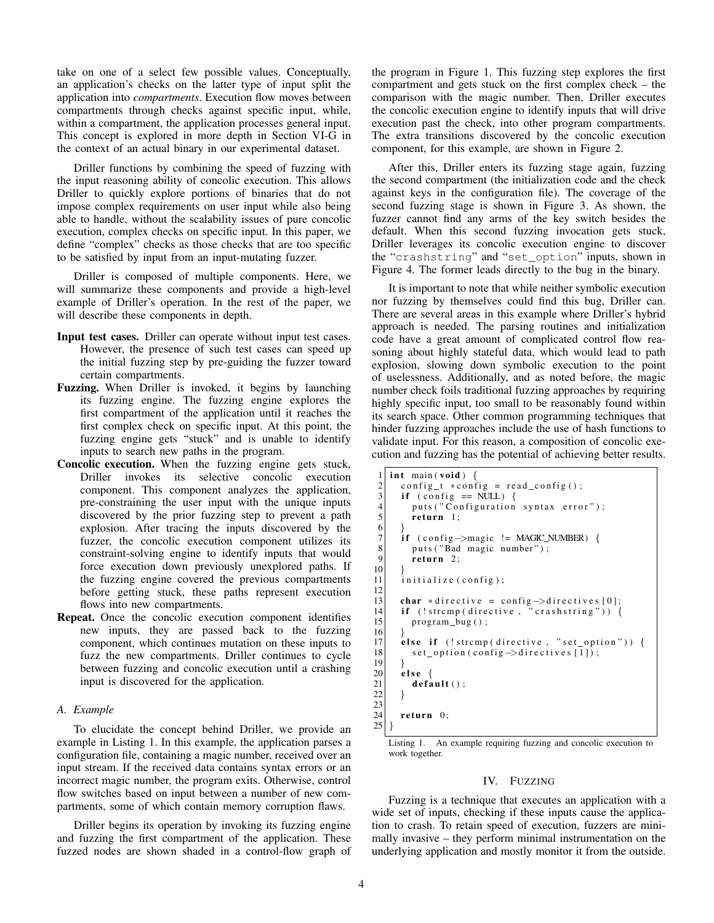take on one of a select few possible values. Conceptually, an application's checks on the latter type of input split the application into *compartments*. Execution flow moves between compartments through checks against specific input, while, within a compartment, the application processes general input. This concept is explored in more depth in Section VI-G in the context of an actual binary in our experimental dataset.

Driller functions by combining the speed of fuzzing with the input reasoning ability of concolic execution. This allows Driller to quickly explore portions of binaries that do not impose complex requirements on user input while also being able to handle, without the scalability issues of pure concolic execution, complex checks on specific input. In this paper, we define "complex" checks as those checks that are too specific to be satisfied by input from an input-mutating fuzzer.

Driller is composed of multiple components. Here, we will summarize these components and provide a high-level example of Driller's operation. In the rest of the paper, we will describe these components in depth.

- Input test cases. Driller can operate without input test cases. However, the presence of such test cases can speed up the initial fuzzing step by pre-guiding the fuzzer toward certain compartments.
- Fuzzing. When Driller is invoked, it begins by launching its fuzzing engine. The fuzzing engine explores the first compartment of the application until it reaches the first complex check on specific input. At this point, the fuzzing engine gets "stuck" and is unable to identify inputs to search new paths in the program.
- Concolic execution. When the fuzzing engine gets stuck, Driller invokes its selective concolic execution component. This component analyzes the application, pre-constraining the user input with the unique inputs discovered by the prior fuzzing step to prevent a path explosion. After tracing the inputs discovered by the fuzzer, the concolic execution component utilizes its constraint-solving engine to identify inputs that would force execution down previously unexplored paths. If the fuzzing engine covered the previous compartments before getting stuck, these paths represent execution flows into new compartments.
- Repeat. Once the concolic execution component identifies new inputs, they are passed back to the fuzzing component, which continues mutation on these inputs to fuzz the new compartments. Driller continues to cycle between fuzzing and concolic execution until a crashing input is discovered for the application.

# *A. Example*

To elucidate the concept behind Driller, we provide an example in Listing 1. In this example, the application parses a configuration file, containing a magic number, received over an input stream. If the received data contains syntax errors or an incorrect magic number, the program exits. Otherwise, control flow switches based on input between a number of new compartments, some of which contain memory corruption flaws.

Driller begins its operation by invoking its fuzzing engine and fuzzing the first compartment of the application. These fuzzed nodes are shown shaded in a control-flow graph of the program in Figure 1. This fuzzing step explores the first compartment and gets stuck on the first complex check – the comparison with the magic number. Then, Driller executes the concolic execution engine to identify inputs that will drive execution past the check, into other program compartments. The extra transitions discovered by the concolic execution component, for this example, are shown in Figure 2.

After this, Driller enters its fuzzing stage again, fuzzing the second compartment (the initialization code and the check against keys in the configuration file). The coverage of the second fuzzing stage is shown in Figure 3. As shown, the fuzzer cannot find any arms of the key switch besides the default. When this second fuzzing invocation gets stuck, Driller leverages its concolic execution engine to discover the "crashstring" and "set\_option" inputs, shown in Figure 4. The former leads directly to the bug in the binary.

It is important to note that while neither symbolic execution nor fuzzing by themselves could find this bug, Driller can. There are several areas in this example where Driller's hybrid approach is needed. The parsing routines and initialization code have a great amount of complicated control flow reasoning about highly stateful data, which would lead to path explosion, slowing down symbolic execution to the point of uselessness. Additionally, and as noted before, the magic number check foils traditional fuzzing approaches by requiring highly specific input, too small to be reasonably found within its search space. Other common programming techniques that hinder fuzzing approaches include the use of hash functions to validate input. For this reason, a composition of concolic execution and fuzzing has the potential of achieving better results.

```
\begin{array}{c|c} 1 & \text{int } \text{main} \ (\text{void}) \\ 2 & \text{config\_t} * \text{col} \end{array}2 config t * config = read_config ();<br>3 if (config == NULL) {
 \begin{array}{c} 3 \\ 4 \end{array} if (config == NULL) {<br>puts("Configuration
 4 puts ("Configuration syntax error");<br>
\begin{bmatrix} 5 \end{bmatrix} return 1;
             return 1;rac{6}{7}if (config \rightarrow magic != MAGIC_NUMBER) {
 8 puts ("Bad magic number");
 9 return 2;
10 }
11 initialize (config);
\frac{12}{13}13 char *directive = config →directives [0];<br>14 if (!strcmp(directive, "crashstring")) {
15 program bug ();
\frac{16}{17}17 else if (!strcmp(directive, "set_option")) {<br>18 set option(config->directives [1]);
             set\_option (config \rightarrow directives [1]);
19 }
\begin{array}{c|c}\n 20 & \text{else} \\
 21 & \text{defa}\n \end{array}\mathbf{default}();
22 }
23
24 return 0;
25 }
```
Listing 1. An example requiring fuzzing and concolic execution to work together.

#### IV. FUZZING

Fuzzing is a technique that executes an application with a wide set of inputs, checking if these inputs cause the application to crash. To retain speed of execution, fuzzers are minimally invasive – they perform minimal instrumentation on the underlying application and mostly monitor it from the outside.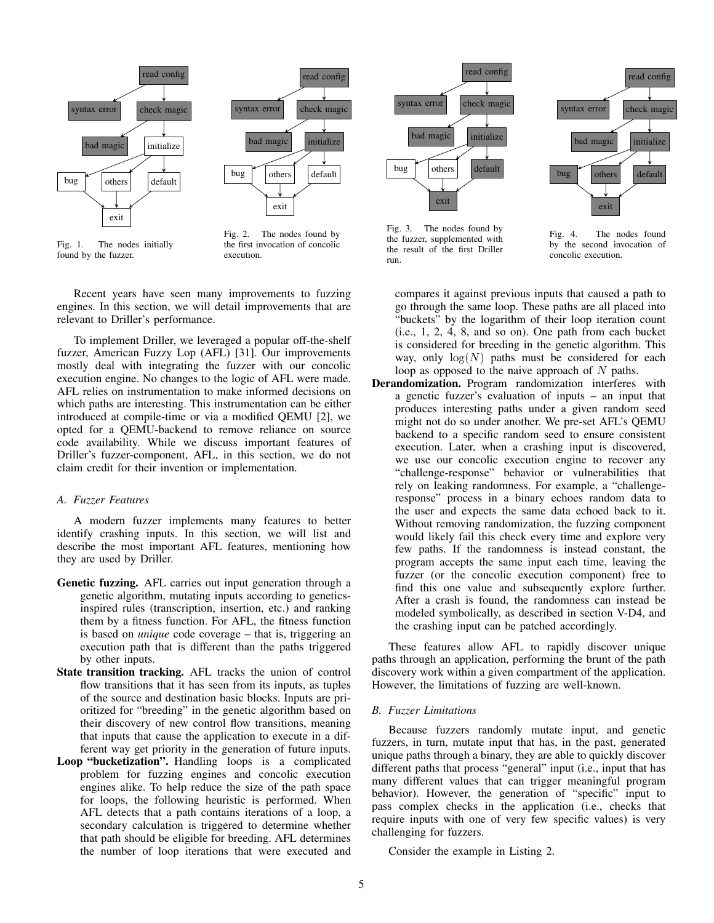



Fig. 2. The nodes found by the first invocation of concolic execution.

Recent years have seen many improvements to fuzzing engines. In this section, we will detail improvements that are relevant to Driller's performance.

To implement Driller, we leveraged a popular off-the-shelf fuzzer, American Fuzzy Lop (AFL) [31]. Our improvements mostly deal with integrating the fuzzer with our concolic execution engine. No changes to the logic of AFL were made. AFL relies on instrumentation to make informed decisions on which paths are interesting. This instrumentation can be either introduced at compile-time or via a modified QEMU [2], we opted for a QEMU-backend to remove reliance on source code availability. While we discuss important features of Driller's fuzzer-component, AFL, in this section, we do not claim credit for their invention or implementation.

## *A. Fuzzer Features*

A modern fuzzer implements many features to better identify crashing inputs. In this section, we will list and describe the most important AFL features, mentioning how they are used by Driller.

- Genetic fuzzing. AFL carries out input generation through a genetic algorithm, mutating inputs according to geneticsinspired rules (transcription, insertion, etc.) and ranking them by a fitness function. For AFL, the fitness function is based on *unique* code coverage – that is, triggering an execution path that is different than the paths triggered by other inputs.
- State transition tracking. AFL tracks the union of control flow transitions that it has seen from its inputs, as tuples of the source and destination basic blocks. Inputs are prioritized for "breeding" in the genetic algorithm based on their discovery of new control flow transitions, meaning that inputs that cause the application to execute in a different way get priority in the generation of future inputs.
- Loop "bucketization". Handling loops is a complicated problem for fuzzing engines and concolic execution engines alike. To help reduce the size of the path space for loops, the following heuristic is performed. When AFL detects that a path contains iterations of a loop, a secondary calculation is triggered to determine whether that path should be eligible for breeding. AFL determines the number of loop iterations that were executed and





Fig. 3. The nodes found by the fuzzer, supplemented with the result of the first Driller run.

Fig. 4. The nodes found by the second invocation of concolic execution.

compares it against previous inputs that caused a path to go through the same loop. These paths are all placed into "buckets" by the logarithm of their loop iteration count (i.e., 1, 2, 4, 8, and so on). One path from each bucket is considered for breeding in the genetic algorithm. This way, only  $log(N)$  paths must be considered for each loop as opposed to the naive approach of  $N$  paths.

Derandomization. Program randomization interferes with a genetic fuzzer's evaluation of inputs – an input that produces interesting paths under a given random seed might not do so under another. We pre-set AFL's QEMU backend to a specific random seed to ensure consistent execution. Later, when a crashing input is discovered, we use our concolic execution engine to recover any "challenge-response" behavior or vulnerabilities that rely on leaking randomness. For example, a "challengeresponse" process in a binary echoes random data to the user and expects the same data echoed back to it. Without removing randomization, the fuzzing component would likely fail this check every time and explore very few paths. If the randomness is instead constant, the program accepts the same input each time, leaving the fuzzer (or the concolic execution component) free to find this one value and subsequently explore further. After a crash is found, the randomness can instead be modeled symbolically, as described in section V-D4, and the crashing input can be patched accordingly.

These features allow AFL to rapidly discover unique paths through an application, performing the brunt of the path discovery work within a given compartment of the application. However, the limitations of fuzzing are well-known.

# *B. Fuzzer Limitations*

Because fuzzers randomly mutate input, and genetic fuzzers, in turn, mutate input that has, in the past, generated unique paths through a binary, they are able to quickly discover different paths that process "general" input (i.e., input that has many different values that can trigger meaningful program behavior). However, the generation of "specific" input to pass complex checks in the application (i.e., checks that require inputs with one of very few specific values) is very challenging for fuzzers.

Consider the example in Listing 2.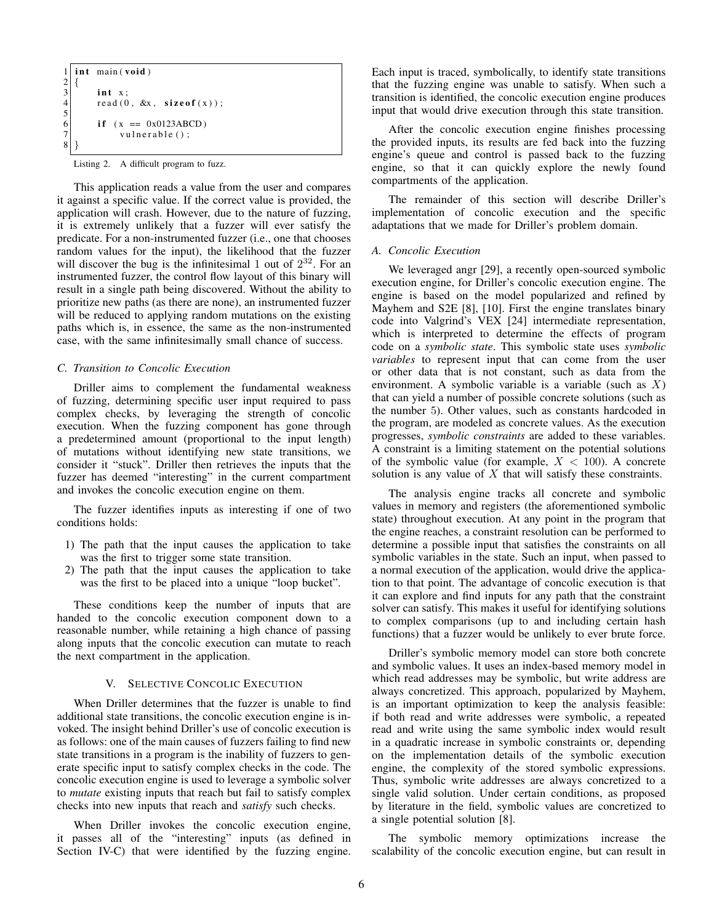```
1 int main (void)
2 {
       int x:read(0, \&x, sizeof(x));5
       if (x == 0x0123ABCD)vulnerable ();
8 }
```
Listing 2. A difficult program to fuzz.

This application reads a value from the user and compares it against a specific value. If the correct value is provided, the application will crash. However, due to the nature of fuzzing, it is extremely unlikely that a fuzzer will ever satisfy the predicate. For a non-instrumented fuzzer (i.e., one that chooses random values for the input), the likelihood that the fuzzer will discover the bug is the infinitesimal 1 out of  $2^{32}$ . For an instrumented fuzzer, the control flow layout of this binary will result in a single path being discovered. Without the ability to prioritize new paths (as there are none), an instrumented fuzzer will be reduced to applying random mutations on the existing paths which is, in essence, the same as the non-instrumented case, with the same infinitesimally small chance of success.

## *C. Transition to Concolic Execution*

Driller aims to complement the fundamental weakness of fuzzing, determining specific user input required to pass complex checks, by leveraging the strength of concolic execution. When the fuzzing component has gone through a predetermined amount (proportional to the input length) of mutations without identifying new state transitions, we consider it "stuck". Driller then retrieves the inputs that the fuzzer has deemed "interesting" in the current compartment and invokes the concolic execution engine on them.

The fuzzer identifies inputs as interesting if one of two conditions holds:

- 1) The path that the input causes the application to take was the first to trigger some state transition.
- 2) The path that the input causes the application to take was the first to be placed into a unique "loop bucket".

These conditions keep the number of inputs that are handed to the concolic execution component down to a reasonable number, while retaining a high chance of passing along inputs that the concolic execution can mutate to reach the next compartment in the application.

## V. SELECTIVE CONCOLIC EXECUTION

When Driller determines that the fuzzer is unable to find additional state transitions, the concolic execution engine is invoked. The insight behind Driller's use of concolic execution is as follows: one of the main causes of fuzzers failing to find new state transitions in a program is the inability of fuzzers to generate specific input to satisfy complex checks in the code. The concolic execution engine is used to leverage a symbolic solver to *mutate* existing inputs that reach but fail to satisfy complex checks into new inputs that reach and *satisfy* such checks.

When Driller invokes the concolic execution engine, it passes all of the "interesting" inputs (as defined in Section IV-C) that were identified by the fuzzing engine.

Each input is traced, symbolically, to identify state transitions that the fuzzing engine was unable to satisfy. When such a transition is identified, the concolic execution engine produces input that would drive execution through this state transition.

After the concolic execution engine finishes processing the provided inputs, its results are fed back into the fuzzing engine's queue and control is passed back to the fuzzing engine, so that it can quickly explore the newly found compartments of the application.

The remainder of this section will describe Driller's implementation of concolic execution and the specific adaptations that we made for Driller's problem domain.

#### *A. Concolic Execution*

We leveraged angr [29], a recently open-sourced symbolic execution engine, for Driller's concolic execution engine. The engine is based on the model popularized and refined by Mayhem and S2E [8], [10]. First the engine translates binary code into Valgrind's VEX [24] intermediate representation, which is interpreted to determine the effects of program code on a *symbolic state*. This symbolic state uses *symbolic variables* to represent input that can come from the user or other data that is not constant, such as data from the environment. A symbolic variable is a variable (such as  $X$ ) that can yield a number of possible concrete solutions (such as the number 5). Other values, such as constants hardcoded in the program, are modeled as concrete values. As the execution progresses, *symbolic constraints* are added to these variables. A constraint is a limiting statement on the potential solutions of the symbolic value (for example,  $X < 100$ ). A concrete solution is any value of  $X$  that will satisfy these constraints.

The analysis engine tracks all concrete and symbolic values in memory and registers (the aforementioned symbolic state) throughout execution. At any point in the program that the engine reaches, a constraint resolution can be performed to determine a possible input that satisfies the constraints on all symbolic variables in the state. Such an input, when passed to a normal execution of the application, would drive the application to that point. The advantage of concolic execution is that it can explore and find inputs for any path that the constraint solver can satisfy. This makes it useful for identifying solutions to complex comparisons (up to and including certain hash functions) that a fuzzer would be unlikely to ever brute force.

Driller's symbolic memory model can store both concrete and symbolic values. It uses an index-based memory model in which read addresses may be symbolic, but write address are always concretized. This approach, popularized by Mayhem, is an important optimization to keep the analysis feasible: if both read and write addresses were symbolic, a repeated read and write using the same symbolic index would result in a quadratic increase in symbolic constraints or, depending on the implementation details of the symbolic execution engine, the complexity of the stored symbolic expressions. Thus, symbolic write addresses are always concretized to a single valid solution. Under certain conditions, as proposed by literature in the field, symbolic values are concretized to a single potential solution [8].

The symbolic memory optimizations increase the scalability of the concolic execution engine, but can result in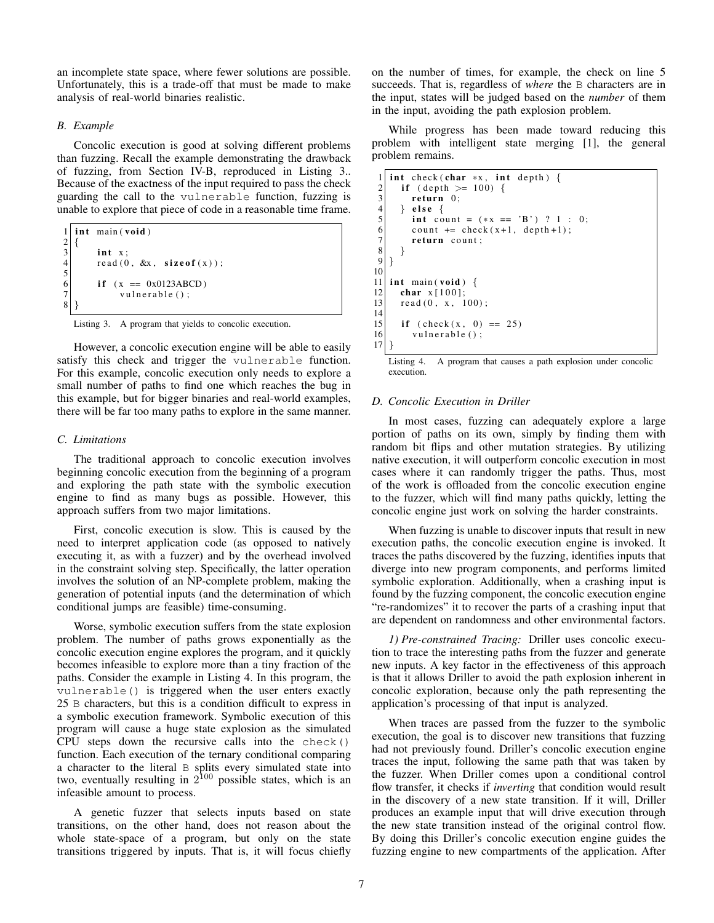an incomplete state space, where fewer solutions are possible. Unfortunately, this is a trade-off that must be made to make analysis of real-world binaries realistic.

## *B. Example*

Concolic execution is good at solving different problems than fuzzing. Recall the example demonstrating the drawback of fuzzing, from Section IV-B, reproduced in Listing 3.. Because of the exactness of the input required to pass the check guarding the call to the vulnerable function, fuzzing is unable to explore that piece of code in a reasonable time frame.

|                | $1$ int main (void)                    |
|----------------|----------------------------------------|
|                |                                        |
| $\overline{3}$ | $int x$ :                              |
| $\overline{4}$ | read $(0, \&x, \text{size of } (x))$ ; |
| 5              |                                        |
| 6              | if $(x == 0x0123ABCD)$                 |
|                | $v$ ulnerable $()$ ;                   |
|                |                                        |
|                |                                        |



However, a concolic execution engine will be able to easily satisfy this check and trigger the vulnerable function. For this example, concolic execution only needs to explore a small number of paths to find one which reaches the bug in this example, but for bigger binaries and real-world examples, there will be far too many paths to explore in the same manner.

#### *C. Limitations*

The traditional approach to concolic execution involves beginning concolic execution from the beginning of a program and exploring the path state with the symbolic execution engine to find as many bugs as possible. However, this approach suffers from two major limitations.

First, concolic execution is slow. This is caused by the need to interpret application code (as opposed to natively executing it, as with a fuzzer) and by the overhead involved in the constraint solving step. Specifically, the latter operation involves the solution of an NP-complete problem, making the generation of potential inputs (and the determination of which conditional jumps are feasible) time-consuming.

Worse, symbolic execution suffers from the state explosion problem. The number of paths grows exponentially as the concolic execution engine explores the program, and it quickly becomes infeasible to explore more than a tiny fraction of the paths. Consider the example in Listing 4. In this program, the vulnerable() is triggered when the user enters exactly 25 B characters, but this is a condition difficult to express in a symbolic execution framework. Symbolic execution of this program will cause a huge state explosion as the simulated CPU steps down the recursive calls into the check() function. Each execution of the ternary conditional comparing a character to the literal B splits every simulated state into two, eventually resulting in  $2^{100}$  possible states, which is an infeasible amount to process.

A genetic fuzzer that selects inputs based on state transitions, on the other hand, does not reason about the whole state-space of a program, but only on the state transitions triggered by inputs. That is, it will focus chiefly on the number of times, for example, the check on line 5 succeeds. That is, regardless of *where* the B characters are in the input, states will be judged based on the *number* of them in the input, avoiding the path explosion problem.

While progress has been made toward reducing this problem with intelligent state merging [1], the general problem remains.

```
1 int check (char *x, int depth) {<br>2 if (depth >= 100) {
\begin{array}{c|c} 2 & \text{if (depth >= 100) {}} \\ \hline 3 & \text{return 0}; \end{array}\begin{array}{c} 3 \\ 4 \end{array} return 0;<br>4 } else {
 \begin{array}{c} 4 \\ 5 \end{array} } else {<br>int co
 5 int count = (*x == 'B') ? 1 : 0;<br>6 count += check(x+1, depth+1);
 6 count += check (x+1, \text{ depth } +1);<br>
7 return count;
             return count;
\begin{bmatrix} 8 \\ 9 \end{bmatrix} }
     9 }
10
11 int main (void) {
12 char x [100];
13 read (0, x, 100);
\frac{14}{15}if ( check(x, 0) == 25)16 vulnerable ();
17 }
```
Listing 4. A program that causes a path explosion under concolic execution.

#### *D. Concolic Execution in Driller*

In most cases, fuzzing can adequately explore a large portion of paths on its own, simply by finding them with random bit flips and other mutation strategies. By utilizing native execution, it will outperform concolic execution in most cases where it can randomly trigger the paths. Thus, most of the work is offloaded from the concolic execution engine to the fuzzer, which will find many paths quickly, letting the concolic engine just work on solving the harder constraints.

When fuzzing is unable to discover inputs that result in new execution paths, the concolic execution engine is invoked. It traces the paths discovered by the fuzzing, identifies inputs that diverge into new program components, and performs limited symbolic exploration. Additionally, when a crashing input is found by the fuzzing component, the concolic execution engine "re-randomizes" it to recover the parts of a crashing input that are dependent on randomness and other environmental factors.

*1) Pre-constrained Tracing:* Driller uses concolic execution to trace the interesting paths from the fuzzer and generate new inputs. A key factor in the effectiveness of this approach is that it allows Driller to avoid the path explosion inherent in concolic exploration, because only the path representing the application's processing of that input is analyzed.

When traces are passed from the fuzzer to the symbolic execution, the goal is to discover new transitions that fuzzing had not previously found. Driller's concolic execution engine traces the input, following the same path that was taken by the fuzzer. When Driller comes upon a conditional control flow transfer, it checks if *inverting* that condition would result in the discovery of a new state transition. If it will, Driller produces an example input that will drive execution through the new state transition instead of the original control flow. By doing this Driller's concolic execution engine guides the fuzzing engine to new compartments of the application. After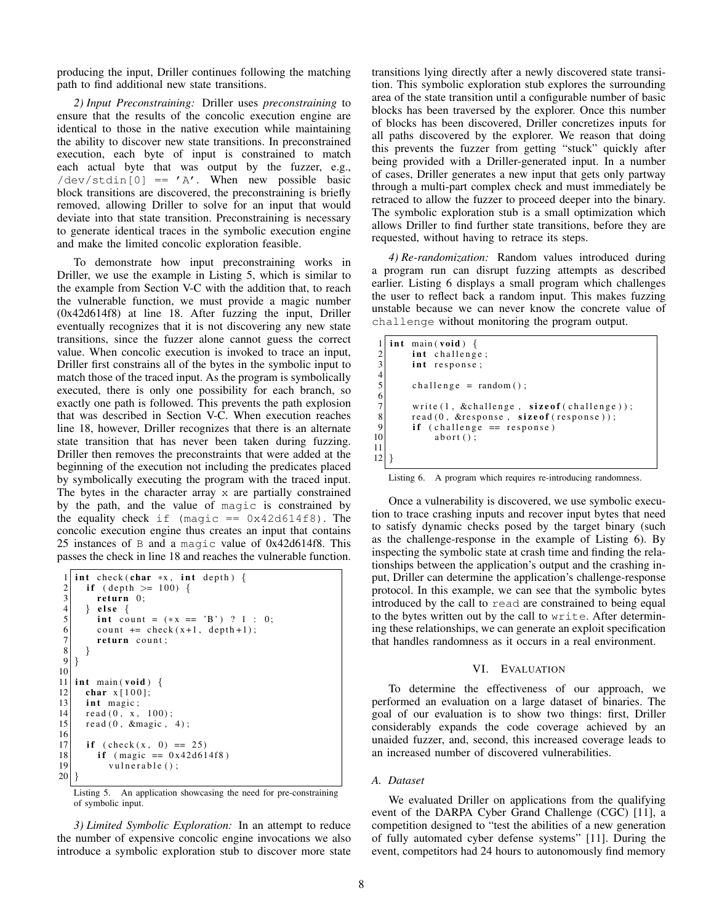producing the input, Driller continues following the matching path to find additional new state transitions.

*2) Input Preconstraining:* Driller uses *preconstraining* to ensure that the results of the concolic execution engine are identical to those in the native execution while maintaining the ability to discover new state transitions. In preconstrained execution, each byte of input is constrained to match each actual byte that was output by the fuzzer, e.g.,  $/\text{dev}/\text{stdin}[0] == 'A'.$  When new possible basic block transitions are discovered, the preconstraining is briefly removed, allowing Driller to solve for an input that would deviate into that state transition. Preconstraining is necessary to generate identical traces in the symbolic execution engine and make the limited concolic exploration feasible.

To demonstrate how input preconstraining works in Driller, we use the example in Listing 5, which is similar to the example from Section V-C with the addition that, to reach the vulnerable function, we must provide a magic number (0x42d614f8) at line 18. After fuzzing the input, Driller eventually recognizes that it is not discovering any new state transitions, since the fuzzer alone cannot guess the correct value. When concolic execution is invoked to trace an input, Driller first constrains all of the bytes in the symbolic input to match those of the traced input. As the program is symbolically executed, there is only one possibility for each branch, so exactly one path is followed. This prevents the path explosion that was described in Section V-C. When execution reaches line 18, however, Driller recognizes that there is an alternate state transition that has never been taken during fuzzing. Driller then removes the preconstraints that were added at the beginning of the execution not including the predicates placed by symbolically executing the program with the traced input. The bytes in the character array  $x$  are partially constrained by the path, and the value of magic is constrained by the equality check if  $(magic == 0x42d614f8)$ . The concolic execution engine thus creates an input that contains 25 instances of B and a magic value of 0x42d614f8. This passes the check in line 18 and reaches the vulnerable function.

```
\frac{1}{2} int check (char *x, int depth) {<br>if (depth >= 100) {
 2 if ( depth >= 100) {<br>return 0;
 \begin{array}{c} 3 \\ 4 \end{array} return 0;<br>4 } else {
 \begin{array}{c} 4 \\ 5 \\ 6 \end{array} } else {<br>tint co<br>count
           int count = (*x == 'B') ? 1 : 0;6 count += check (x+1, \text{ depth } +1);<br>
7 return count;
           return count;
 8 }
    \}10
11 int main (void) {
12 char x [100];
13 int magic;
14 read (0, x, 100);
15 read (0, \text{ } \& \text{magic}, \; 4);
\frac{16}{17}if ( check(x, 0) == 25)18 if (magic == 0x42d614f8)19 vulnerable ();
20 }
```
Listing 5. An application showcasing the need for pre-constraining of symbolic input.

*3) Limited Symbolic Exploration:* In an attempt to reduce the number of expensive concolic engine invocations we also introduce a symbolic exploration stub to discover more state transitions lying directly after a newly discovered state transition. This symbolic exploration stub explores the surrounding area of the state transition until a configurable number of basic blocks has been traversed by the explorer. Once this number of blocks has been discovered, Driller concretizes inputs for all paths discovered by the explorer. We reason that doing this prevents the fuzzer from getting "stuck" quickly after being provided with a Driller-generated input. In a number of cases, Driller generates a new input that gets only partway through a multi-part complex check and must immediately be retraced to allow the fuzzer to proceed deeper into the binary. The symbolic exploration stub is a small optimization which allows Driller to find further state transitions, before they are requested, without having to retrace its steps.

*4) Re-randomization:* Random values introduced during a program run can disrupt fuzzing attempts as described earlier. Listing 6 displays a small program which challenges the user to reflect back a random input. This makes fuzzing unstable because we can never know the concrete value of challenge without monitoring the program output.

```
\begin{bmatrix} 1 \\ 2 \end{bmatrix} int main (void) {<br>int challeng
\begin{array}{c|c} 2 & \text{int challenge} ; \\ 3 & \text{int response} : \end{array}int response;
 \frac{4}{5}challenge = random();
 \frac{6}{7}write(1, & challenge, sizeof( challenge));8 read (0, & response, size of (response));
9 if (challenge = response)<br>10 abort();
                  abort();
11
12}
```
Listing 6. A program which requires re-introducing randomness.

Once a vulnerability is discovered, we use symbolic execution to trace crashing inputs and recover input bytes that need to satisfy dynamic checks posed by the target binary (such as the challenge-response in the example of Listing 6). By inspecting the symbolic state at crash time and finding the relationships between the application's output and the crashing input, Driller can determine the application's challenge-response protocol. In this example, we can see that the symbolic bytes introduced by the call to read are constrained to being equal to the bytes written out by the call to write. After determining these relationships, we can generate an exploit specification that handles randomness as it occurs in a real environment.

## VI. EVALUATION

To determine the effectiveness of our approach, we performed an evaluation on a large dataset of binaries. The goal of our evaluation is to show two things: first, Driller considerably expands the code coverage achieved by an unaided fuzzer, and, second, this increased coverage leads to an increased number of discovered vulnerabilities.

# *A. Dataset*

We evaluated Driller on applications from the qualifying event of the DARPA Cyber Grand Challenge (CGC) [11], a competition designed to "test the abilities of a new generation of fully automated cyber defense systems" [11]. During the event, competitors had 24 hours to autonomously find memory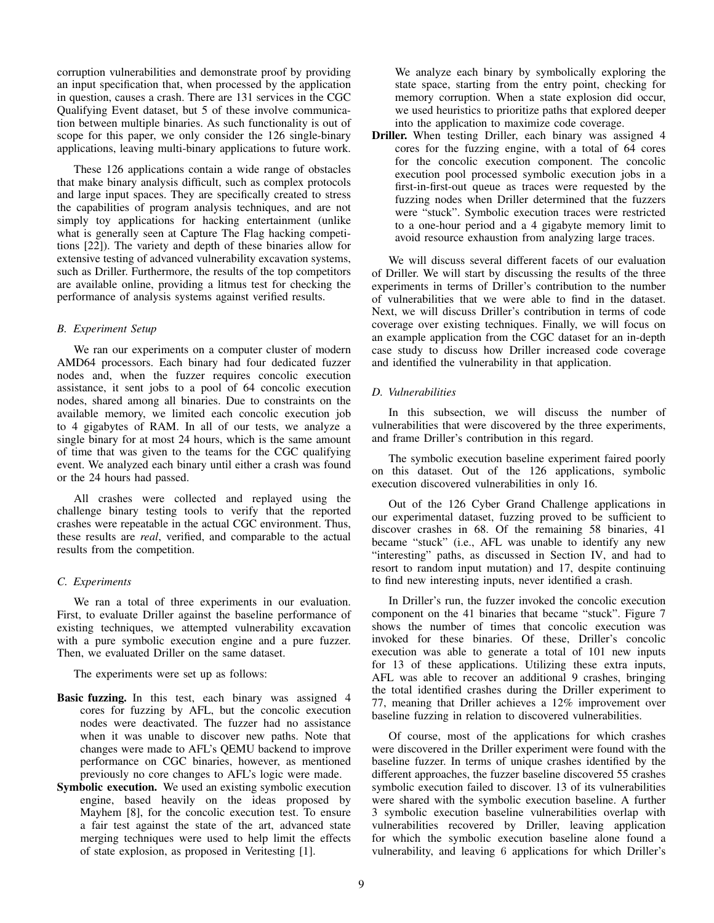corruption vulnerabilities and demonstrate proof by providing an input specification that, when processed by the application in question, causes a crash. There are 131 services in the CGC Qualifying Event dataset, but 5 of these involve communication between multiple binaries. As such functionality is out of scope for this paper, we only consider the 126 single-binary applications, leaving multi-binary applications to future work.

These 126 applications contain a wide range of obstacles that make binary analysis difficult, such as complex protocols and large input spaces. They are specifically created to stress the capabilities of program analysis techniques, and are not simply toy applications for hacking entertainment (unlike what is generally seen at Capture The Flag hacking competitions [22]). The variety and depth of these binaries allow for extensive testing of advanced vulnerability excavation systems, such as Driller. Furthermore, the results of the top competitors are available online, providing a litmus test for checking the performance of analysis systems against verified results.

### *B. Experiment Setup*

We ran our experiments on a computer cluster of modern AMD64 processors. Each binary had four dedicated fuzzer nodes and, when the fuzzer requires concolic execution assistance, it sent jobs to a pool of 64 concolic execution nodes, shared among all binaries. Due to constraints on the available memory, we limited each concolic execution job to 4 gigabytes of RAM. In all of our tests, we analyze a single binary for at most 24 hours, which is the same amount of time that was given to the teams for the CGC qualifying event. We analyzed each binary until either a crash was found or the 24 hours had passed.

All crashes were collected and replayed using the challenge binary testing tools to verify that the reported crashes were repeatable in the actual CGC environment. Thus, these results are *real*, verified, and comparable to the actual results from the competition.

## *C. Experiments*

We ran a total of three experiments in our evaluation. First, to evaluate Driller against the baseline performance of existing techniques, we attempted vulnerability excavation with a pure symbolic execution engine and a pure fuzzer. Then, we evaluated Driller on the same dataset.

The experiments were set up as follows:

- Basic fuzzing. In this test, each binary was assigned 4 cores for fuzzing by AFL, but the concolic execution nodes were deactivated. The fuzzer had no assistance when it was unable to discover new paths. Note that changes were made to AFL's QEMU backend to improve performance on CGC binaries, however, as mentioned previously no core changes to AFL's logic were made.
- Symbolic execution. We used an existing symbolic execution engine, based heavily on the ideas proposed by Mayhem [8], for the concolic execution test. To ensure a fair test against the state of the art, advanced state merging techniques were used to help limit the effects of state explosion, as proposed in Veritesting [1].

We analyze each binary by symbolically exploring the state space, starting from the entry point, checking for memory corruption. When a state explosion did occur, we used heuristics to prioritize paths that explored deeper into the application to maximize code coverage.

Driller. When testing Driller, each binary was assigned 4 cores for the fuzzing engine, with a total of 64 cores for the concolic execution component. The concolic execution pool processed symbolic execution jobs in a first-in-first-out queue as traces were requested by the fuzzing nodes when Driller determined that the fuzzers were "stuck". Symbolic execution traces were restricted to a one-hour period and a 4 gigabyte memory limit to avoid resource exhaustion from analyzing large traces.

We will discuss several different facets of our evaluation of Driller. We will start by discussing the results of the three experiments in terms of Driller's contribution to the number of vulnerabilities that we were able to find in the dataset. Next, we will discuss Driller's contribution in terms of code coverage over existing techniques. Finally, we will focus on an example application from the CGC dataset for an in-depth case study to discuss how Driller increased code coverage and identified the vulnerability in that application.

### *D. Vulnerabilities*

In this subsection, we will discuss the number of vulnerabilities that were discovered by the three experiments, and frame Driller's contribution in this regard.

The symbolic execution baseline experiment faired poorly on this dataset. Out of the 126 applications, symbolic execution discovered vulnerabilities in only 16.

Out of the 126 Cyber Grand Challenge applications in our experimental dataset, fuzzing proved to be sufficient to discover crashes in 68. Of the remaining 58 binaries, 41 became "stuck" (i.e., AFL was unable to identify any new "interesting" paths, as discussed in Section IV, and had to resort to random input mutation) and 17, despite continuing to find new interesting inputs, never identified a crash.

In Driller's run, the fuzzer invoked the concolic execution component on the 41 binaries that became "stuck". Figure 7 shows the number of times that concolic execution was invoked for these binaries. Of these, Driller's concolic execution was able to generate a total of 101 new inputs for 13 of these applications. Utilizing these extra inputs, AFL was able to recover an additional 9 crashes, bringing the total identified crashes during the Driller experiment to 77, meaning that Driller achieves a 12% improvement over baseline fuzzing in relation to discovered vulnerabilities.

Of course, most of the applications for which crashes were discovered in the Driller experiment were found with the baseline fuzzer. In terms of unique crashes identified by the different approaches, the fuzzer baseline discovered 55 crashes symbolic execution failed to discover. 13 of its vulnerabilities were shared with the symbolic execution baseline. A further 3 symbolic execution baseline vulnerabilities overlap with vulnerabilities recovered by Driller, leaving application for which the symbolic execution baseline alone found a vulnerability, and leaving 6 applications for which Driller's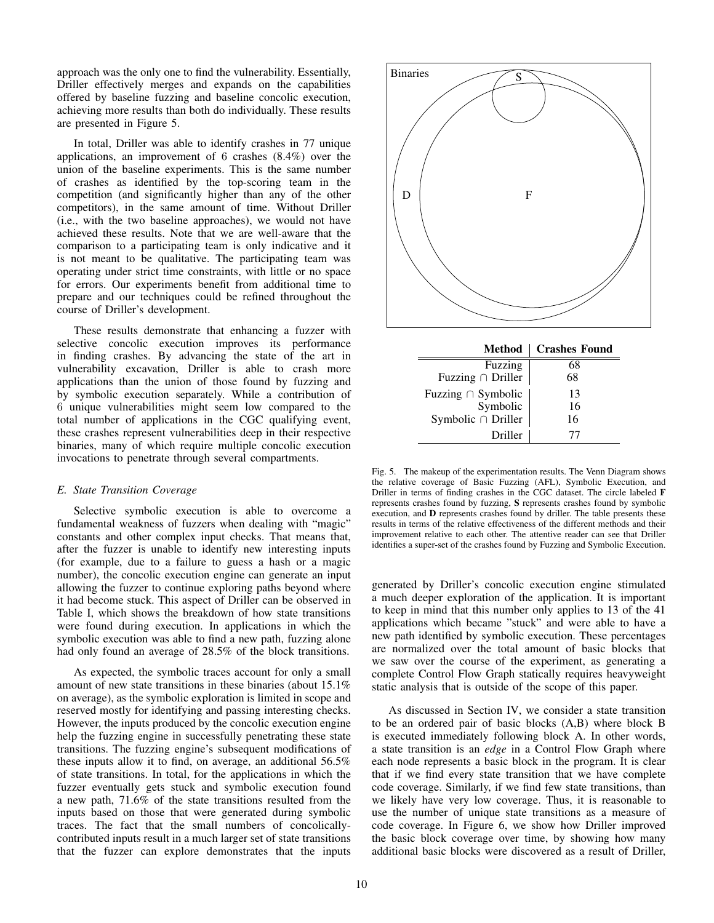approach was the only one to find the vulnerability. Essentially, Driller effectively merges and expands on the capabilities offered by baseline fuzzing and baseline concolic execution, achieving more results than both do individually. These results are presented in Figure 5.

In total, Driller was able to identify crashes in 77 unique applications, an improvement of 6 crashes (8.4%) over the union of the baseline experiments. This is the same number of crashes as identified by the top-scoring team in the competition (and significantly higher than any of the other competitors), in the same amount of time. Without Driller (i.e., with the two baseline approaches), we would not have achieved these results. Note that we are well-aware that the comparison to a participating team is only indicative and it is not meant to be qualitative. The participating team was operating under strict time constraints, with little or no space for errors. Our experiments benefit from additional time to prepare and our techniques could be refined throughout the course of Driller's development.

These results demonstrate that enhancing a fuzzer with selective concolic execution improves its performance in finding crashes. By advancing the state of the art in vulnerability excavation, Driller is able to crash more applications than the union of those found by fuzzing and by symbolic execution separately. While a contribution of 6 unique vulnerabilities might seem low compared to the total number of applications in the CGC qualifying event, these crashes represent vulnerabilities deep in their respective binaries, many of which require multiple concolic execution invocations to penetrate through several compartments.

# *E. State Transition Coverage*

Selective symbolic execution is able to overcome a fundamental weakness of fuzzers when dealing with "magic" constants and other complex input checks. That means that, after the fuzzer is unable to identify new interesting inputs (for example, due to a failure to guess a hash or a magic number), the concolic execution engine can generate an input allowing the fuzzer to continue exploring paths beyond where it had become stuck. This aspect of Driller can be observed in Table I, which shows the breakdown of how state transitions were found during execution. In applications in which the symbolic execution was able to find a new path, fuzzing alone had only found an average of 28.5% of the block transitions.

As expected, the symbolic traces account for only a small amount of new state transitions in these binaries (about 15.1% on average), as the symbolic exploration is limited in scope and reserved mostly for identifying and passing interesting checks. However, the inputs produced by the concolic execution engine help the fuzzing engine in successfully penetrating these state transitions. The fuzzing engine's subsequent modifications of these inputs allow it to find, on average, an additional 56.5% of state transitions. In total, for the applications in which the fuzzer eventually gets stuck and symbolic execution found a new path, 71.6% of the state transitions resulted from the inputs based on those that were generated during symbolic traces. The fact that the small numbers of concolicallycontributed inputs result in a much larger set of state transitions that the fuzzer can explore demonstrates that the inputs



| <b>Method</b>           | <b>Crashes Found</b> |
|-------------------------|----------------------|
| Fuzzing                 | 68                   |
| Fuzzing $\cap$ Driller  | 68                   |
| Fuzzing $\cap$ Symbolic | 13                   |
| Symbolic                | 16                   |
| Symbolic $\cap$ Driller | 16                   |
| Driller                 | T                    |

Fig. 5. The makeup of the experimentation results. The Venn Diagram shows the relative coverage of Basic Fuzzing (AFL), Symbolic Execution, and Driller in terms of finding crashes in the CGC dataset. The circle labeled F represents crashes found by fuzzing, S represents crashes found by symbolic execution, and D represents crashes found by driller. The table presents these results in terms of the relative effectiveness of the different methods and their improvement relative to each other. The attentive reader can see that Driller identifies a super-set of the crashes found by Fuzzing and Symbolic Execution.

generated by Driller's concolic execution engine stimulated a much deeper exploration of the application. It is important to keep in mind that this number only applies to 13 of the 41 applications which became "stuck" and were able to have a new path identified by symbolic execution. These percentages are normalized over the total amount of basic blocks that we saw over the course of the experiment, as generating a complete Control Flow Graph statically requires heavyweight static analysis that is outside of the scope of this paper.

As discussed in Section IV, we consider a state transition to be an ordered pair of basic blocks (A,B) where block B is executed immediately following block A. In other words, a state transition is an *edge* in a Control Flow Graph where each node represents a basic block in the program. It is clear that if we find every state transition that we have complete code coverage. Similarly, if we find few state transitions, than we likely have very low coverage. Thus, it is reasonable to use the number of unique state transitions as a measure of code coverage. In Figure 6, we show how Driller improved the basic block coverage over time, by showing how many additional basic blocks were discovered as a result of Driller,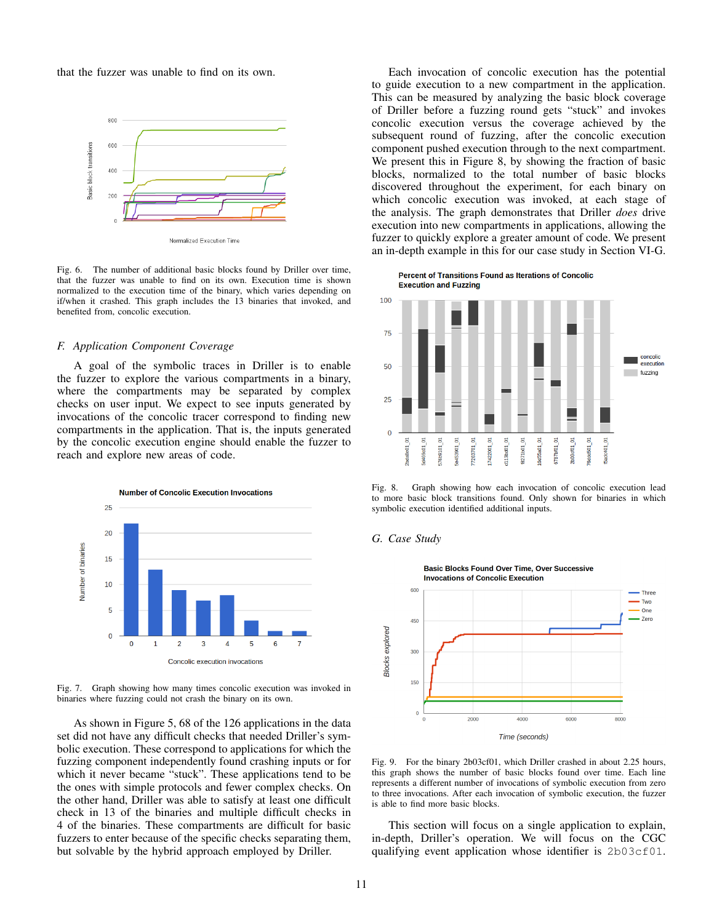that the fuzzer was unable to find on its own.



Normalized Execution Time

Fig. 6. The number of additional basic blocks found by Driller over time, that the fuzzer was unable to find on its own. Execution time is shown normalized to the execution time of the binary, which varies depending on if/when it crashed. This graph includes the 13 binaries that invoked, and benefited from, concolic execution.

## *F. Application Component Coverage*

A goal of the symbolic traces in Driller is to enable the fuzzer to explore the various compartments in a binary, where the compartments may be separated by complex checks on user input. We expect to see inputs generated by invocations of the concolic tracer correspond to finding new compartments in the application. That is, the inputs generated by the concolic execution engine should enable the fuzzer to reach and explore new areas of code.



Fig. 7. Graph showing how many times concolic execution was invoked in binaries where fuzzing could not crash the binary on its own.

As shown in Figure 5, 68 of the 126 applications in the data set did not have any difficult checks that needed Driller's symbolic execution. These correspond to applications for which the fuzzing component independently found crashing inputs or for which it never became "stuck". These applications tend to be the ones with simple protocols and fewer complex checks. On the other hand, Driller was able to satisfy at least one difficult check in 13 of the binaries and multiple difficult checks in 4 of the binaries. These compartments are difficult for basic fuzzers to enter because of the specific checks separating them, but solvable by the hybrid approach employed by Driller.

Each invocation of concolic execution has the potential to guide execution to a new compartment in the application. This can be measured by analyzing the basic block coverage of Driller before a fuzzing round gets "stuck" and invokes concolic execution versus the coverage achieved by the subsequent round of fuzzing, after the concolic execution component pushed execution through to the next compartment. We present this in Figure 8, by showing the fraction of basic blocks, normalized to the total number of basic blocks discovered throughout the experiment, for each binary on which concolic execution was invoked, at each stage of the analysis. The graph demonstrates that Driller *does* drive execution into new compartments in applications, allowing the fuzzer to quickly explore a greater amount of code. We present an in-depth example in this for our case study in Section VI-G.

Percent of Transitions Found as Iterations of Concolic **Execution and Fuzzing** 



Fig. 8. Graph showing how each invocation of concolic execution lead to more basic block transitions found. Only shown for binaries in which symbolic execution identified additional inputs.

# *G. Case Study*



Fig. 9. For the binary 2b03cf01, which Driller crashed in about 2.25 hours, this graph shows the number of basic blocks found over time. Each line represents a different number of invocations of symbolic execution from zero to three invocations. After each invocation of symbolic execution, the fuzzer is able to find more basic blocks.

This section will focus on a single application to explain, in-depth, Driller's operation. We will focus on the CGC qualifying event application whose identifier is 2b03cf01.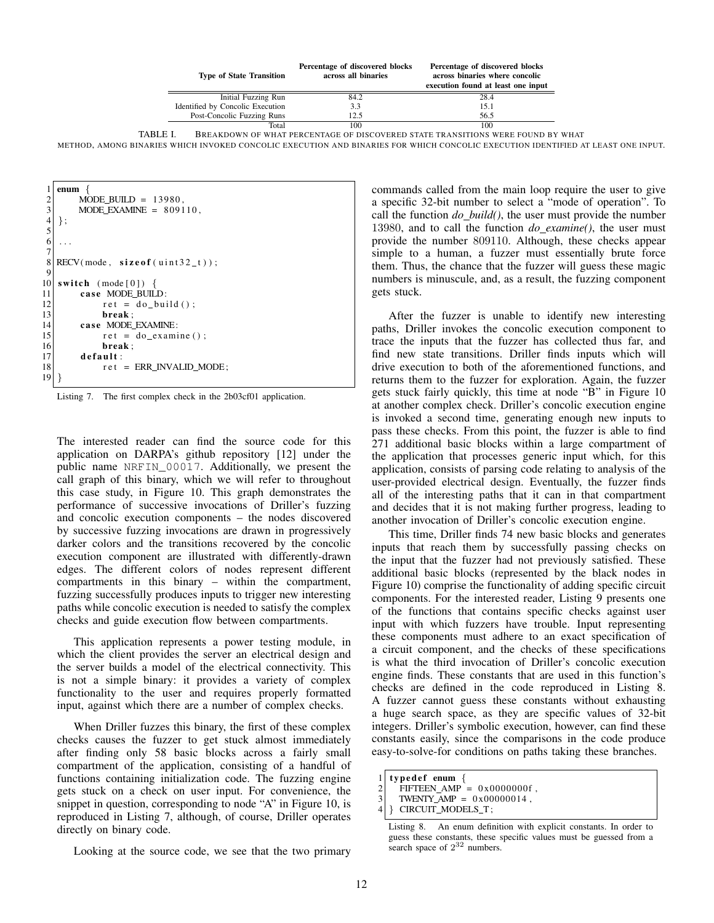|          | <b>Type of State Transition</b>  | Percentage of discovered blocks<br>across all binaries | Percentage of discovered blocks<br>across binaries where concolic<br>execution found at least one input |
|----------|----------------------------------|--------------------------------------------------------|---------------------------------------------------------------------------------------------------------|
|          | Initial Fuzzing Run              | 84.2                                                   | 28.4                                                                                                    |
|          | Identified by Concolic Execution | 3.3                                                    | 15.1                                                                                                    |
|          | Post-Concolic Fuzzing Runs       | 12.5                                                   | 56.5                                                                                                    |
|          | Total                            | 100                                                    | 100                                                                                                     |
| TABLE I. |                                  |                                                        | BREAKDOWN OF WHAT PERCENTAGE OF DISCOVERED STATE TRANSITIONS WERE FOUND BY WHAT                         |

METHOD, AMONG BINARIES WHICH INVOKED CONCOLIC EXECUTION AND BINARIES FOR WHICH CONCOLIC EXECUTION IDENTIFIED AT LEAST ONE INPUT.

| 1              | enum $\left\{ \right.$           |
|----------------|----------------------------------|
| $\overline{c}$ | MODE BUILD = $13980$ .           |
| $\overline{3}$ | $MODE$ _EXAMINE = $809110$ ,     |
|                | $\}$ ;                           |
| $\frac{4}{5}$  |                                  |
| 6              |                                  |
| $\overline{7}$ |                                  |
| 8              | $RECV(model, sizeof(uint32_t));$ |
| 9              |                                  |
| 10             | switch $(\text{mode}[0])$ {      |
| 11             | case MODE_BUILD:                 |
| 12             | $ret = do_buid()$ ;              |
| 13             | break:                           |
| 14             | case MODE EXAMINE:               |
| 15             | $ret = do examine()$ ;           |
| 16             | break:                           |
| 17             | default:                         |
| 18             | $ret$ = ERR INVALID MODE;        |
| 19             |                                  |

Listing 7. The first complex check in the 2b03cf01 application.

The interested reader can find the source code for this application on DARPA's github repository [12] under the public name NRFIN\_00017. Additionally, we present the call graph of this binary, which we will refer to throughout this case study, in Figure 10. This graph demonstrates the performance of successive invocations of Driller's fuzzing and concolic execution components – the nodes discovered by successive fuzzing invocations are drawn in progressively darker colors and the transitions recovered by the concolic execution component are illustrated with differently-drawn edges. The different colors of nodes represent different compartments in this binary – within the compartment, fuzzing successfully produces inputs to trigger new interesting paths while concolic execution is needed to satisfy the complex checks and guide execution flow between compartments.

This application represents a power testing module, in which the client provides the server an electrical design and the server builds a model of the electrical connectivity. This is not a simple binary: it provides a variety of complex functionality to the user and requires properly formatted input, against which there are a number of complex checks.

When Driller fuzzes this binary, the first of these complex checks causes the fuzzer to get stuck almost immediately after finding only 58 basic blocks across a fairly small compartment of the application, consisting of a handful of functions containing initialization code. The fuzzing engine gets stuck on a check on user input. For convenience, the snippet in question, corresponding to node "A" in Figure 10, is reproduced in Listing 7, although, of course, Driller operates directly on binary code.

Looking at the source code, we see that the two primary

commands called from the main loop require the user to give a specific 32-bit number to select a "mode of operation". To call the function *do build()*, the user must provide the number 13980, and to call the function *do examine()*, the user must provide the number 809110. Although, these checks appear simple to a human, a fuzzer must essentially brute force them. Thus, the chance that the fuzzer will guess these magic numbers is minuscule, and, as a result, the fuzzing component gets stuck.

After the fuzzer is unable to identify new interesting paths, Driller invokes the concolic execution component to trace the inputs that the fuzzer has collected thus far, and find new state transitions. Driller finds inputs which will drive execution to both of the aforementioned functions, and returns them to the fuzzer for exploration. Again, the fuzzer gets stuck fairly quickly, this time at node "B" in Figure 10 at another complex check. Driller's concolic execution engine is invoked a second time, generating enough new inputs to pass these checks. From this point, the fuzzer is able to find 271 additional basic blocks within a large compartment of the application that processes generic input which, for this application, consists of parsing code relating to analysis of the user-provided electrical design. Eventually, the fuzzer finds all of the interesting paths that it can in that compartment and decides that it is not making further progress, leading to another invocation of Driller's concolic execution engine.

This time, Driller finds 74 new basic blocks and generates inputs that reach them by successfully passing checks on the input that the fuzzer had not previously satisfied. These additional basic blocks (represented by the black nodes in Figure 10) comprise the functionality of adding specific circuit components. For the interested reader, Listing 9 presents one of the functions that contains specific checks against user input with which fuzzers have trouble. Input representing these components must adhere to an exact specification of a circuit component, and the checks of these specifications is what the third invocation of Driller's concolic execution engine finds. These constants that are used in this function's checks are defined in the code reproduced in Listing 8. A fuzzer cannot guess these constants without exhausting a huge search space, as they are specific values of 32-bit integers. Driller's symbolic execution, however, can find these constants easily, since the comparisons in the code produce easy-to-solve-for conditions on paths taking these branches.

Listing 8. An enum definition with explicit constants. In order to guess these constants, these specific values must be guessed from a search space of  $2^{32}$  numbers.

 $type def$  enum {

<sup>2</sup> FIFTEEN\_AMP =  $0 \times 00000000$  f,<br>3 TWENTY AMP =  $0 \times 000000014$ .

TWENTY\_AMP =  $0 \times 000000014$ ,

<sup>4</sup> } CIRCUIT MODELS T ;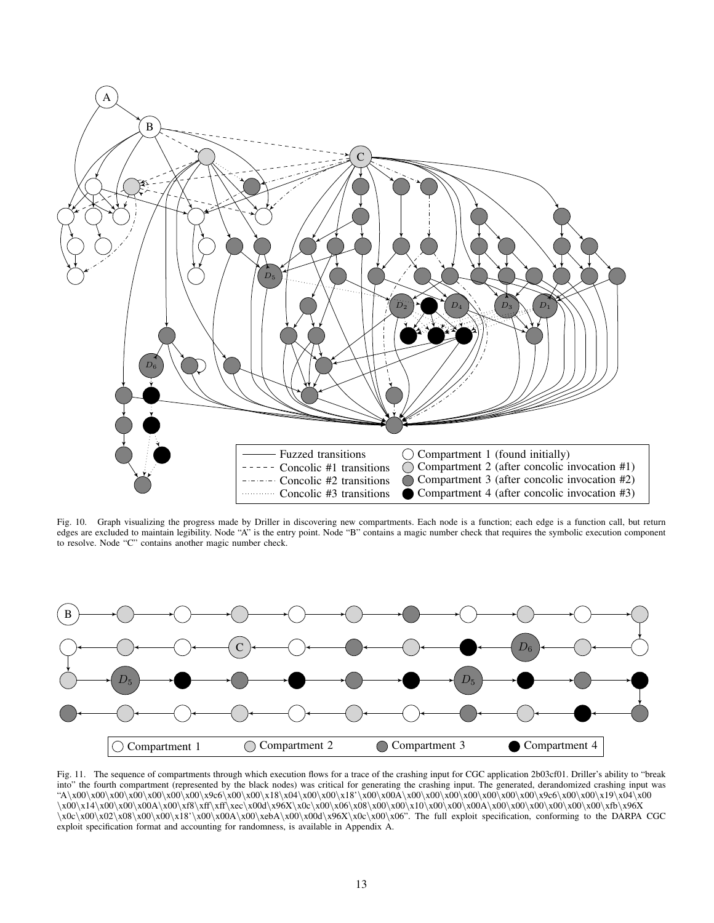

Fig. 10. Graph visualizing the progress made by Driller in discovering new compartments. Each node is a function; each edge is a function call, but return edges are excluded to maintain legibility. Node "A" is the entry point. Node "B" contains a magic number check that requires the symbolic execution component to resolve. Node "C" contains another magic number check.



Fig. 11. The sequence of compartments through which execution flows for a trace of the crashing input for CGC application 2b03cf01. Driller's ability to "break into" the fourth compartment (represented by the black nodes) was critical for generating the crashing input. The generated, derandomized crashing input was "A\x00\x00\x00\x00\x00\x00\x00\x9c6\x00\x00\x18\x04\x00\x00\x18'\x00\x00A\x00\x00\x00\x00\x00\x00\x00\x9c6\x00\x00\x19\x04\x00 \x00\x14\x00\x00\x00A\x00\xf8\xff\xff\xec\x00d\x96X\x0c\x00\x06\x08\x00\x00\x10\x00\x00\x00A\x00\x00\x00\x00\x00\x00\xfb\x96X \x0c\x00\x02\x08\x00\x00\x18'\x00\x00A\x00\xebA\x00\x00d\x96X\x0c\x00\x06". The full exploit specification, conforming to the DARPA CGC exploit specification format and accounting for randomness, is available in Appendix A.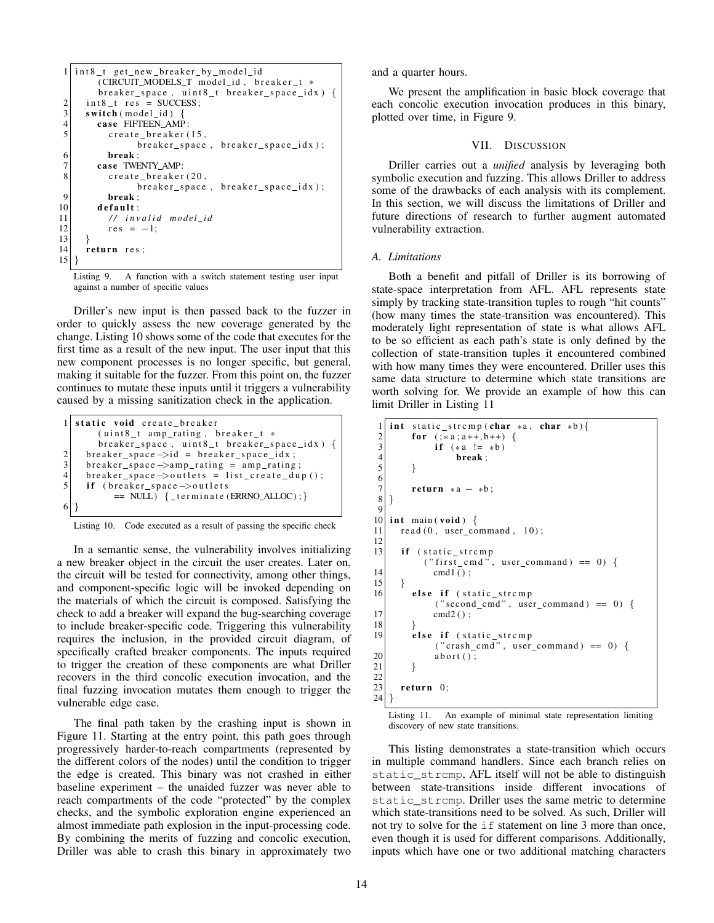```
1 int8_t get_new_breaker_by_model_id
           (CIRCUIT_MODELS_T model_id, breaker_t *
           breaker\_space, uint8_t breaker_space_idx) {
 \begin{array}{c|c} 2 & \text{int}8 \text{t} \text{res} = \text{SUCCESS} ; \\ 3 & \text{switch} \text{ (model id)} \end{array}\begin{array}{c|c} 3 & \textbf{switch} \ (\text{model_id}) & \{ \\ 4 & \textbf{case} \ \text{FIFFEEN AMF} \end{array}4 case FIFTEEN_AMP:<br>
create_breaker(
              c r e a t e _b r e a k e r (15,
                      breaker\_space, breaker\_space\_idx);
 \begin{array}{c|c}\n6 & \text{break} \\
7 & \text{case} \\
\end{array}case TWENTY_AMP:
 8 create_breaker (20,
                       breaker_space, breaker_space_idx);
 9 break ;
10 default:
11 / / i n v a l i d m o d el i d
12 res = -1;
13 }
14 return res;
15 }
```
Listing 9. A function with a switch statement testing user input against a number of specific values

Driller's new input is then passed back to the fuzzer in order to quickly assess the new coverage generated by the change. Listing 10 shows some of the code that executes for the first time as a result of the new input. The user input that this new component processes is no longer specific, but general, making it suitable for the fuzzer. From this point on, the fuzzer continues to mutate these inputs until it triggers a vulnerability caused by a missing sanitization check in the application.

|                | static void create_breaker                                  |
|----------------|-------------------------------------------------------------|
|                | (uint8_t amp_rating, breaker_t *                            |
|                | breaker_space, uint8_t breaker_space_idx) {                 |
| 2              | $breaker$ _space $\rightarrow$ id = breaker_space_idx;      |
| 3              | breaker_space $\rightarrow$ amp_rating = amp_rating;        |
| $\overline{4}$ | $breaker$ _space $\rightarrow$ outlets = list_create_dup(); |
|                | if (breaker_space->outlets                                  |
|                | $== NULL)$ { _terminate (ERRNO_ALLOC); }                    |
|                |                                                             |
|                |                                                             |

Listing 10. Code executed as a result of passing the specific check

In a semantic sense, the vulnerability involves initializing a new breaker object in the circuit the user creates. Later on, the circuit will be tested for connectivity, among other things, and component-specific logic will be invoked depending on the materials of which the circuit is composed. Satisfying the check to add a breaker will expand the bug-searching coverage to include breaker-specific code. Triggering this vulnerability requires the inclusion, in the provided circuit diagram, of specifically crafted breaker components. The inputs required to trigger the creation of these components are what Driller recovers in the third concolic execution invocation, and the final fuzzing invocation mutates them enough to trigger the vulnerable edge case.

The final path taken by the crashing input is shown in Figure 11. Starting at the entry point, this path goes through progressively harder-to-reach compartments (represented by the different colors of the nodes) until the condition to trigger the edge is created. This binary was not crashed in either baseline experiment – the unaided fuzzer was never able to reach compartments of the code "protected" by the complex checks, and the symbolic exploration engine experienced an almost immediate path explosion in the input-processing code. By combining the merits of fuzzing and concolic execution, Driller was able to crash this binary in approximately two and a quarter hours.

We present the amplification in basic block coverage that each concolic execution invocation produces in this binary, plotted over time, in Figure 9.

#### VII. DISCUSSION

Driller carries out a *unified* analysis by leveraging both symbolic execution and fuzzing. This allows Driller to address some of the drawbacks of each analysis with its complement. In this section, we will discuss the limitations of Driller and future directions of research to further augment automated vulnerability extraction.

### *A. Limitations*

Both a benefit and pitfall of Driller is its borrowing of state-space interpretation from AFL. AFL represents state simply by tracking state-transition tuples to rough "hit counts" (how many times the state-transition was encountered). This moderately light representation of state is what allows AFL to be so efficient as each path's state is only defined by the collection of state-transition tuples it encountered combined with how many times they were encountered. Driller uses this same data structure to determine which state transitions are worth solving for. We provide an example of how this can limit Driller in Listing 11

```
1 int static_strcmp(char *a, char *b){<br>for (\frac{1}{2}, a; a++), b++)}
2<br>3 for (:*a: a++, b++) {<br>if (*a != *b)\begin{array}{c|c}\n3 \\
4\n\end{array} if (*a != *b)<br>break;
 \begin{array}{c} 4 \\ 5 \end{array} break;
          \mathcal{F}\frac{6}{7}\begin{bmatrix} 7 \\ 8 \end{bmatrix} return *a – *b;
    8 }
 9
10 int main (void) {
11 read (0, user_{command}, 10);
12
13 if (static_strcmp
             ("first\_cmd", user\_command) == 0) {
14 cmd1();
\begin{array}{c} 15 \\ 16 \end{array} }
          else if (static_strcmp
                ("secondcmd", user{}_command) == 0) {
17 cmd2();
\begin{array}{c} 18 \\ 19 \end{array} }
          else if (static_strcmp
                 ("crash\_cmd", user\_command) == 0) {
20 abort ();
21 }
22
23 return 0:
24 }
```
Listing 11. An example of minimal state representation limiting discovery of new state transitions.

This listing demonstrates a state-transition which occurs in multiple command handlers. Since each branch relies on static\_strcmp, AFL itself will not be able to distinguish between state-transitions inside different invocations of static strcmp. Driller uses the same metric to determine which state-transitions need to be solved. As such, Driller will not try to solve for the if statement on line 3 more than once, even though it is used for different comparisons. Additionally, inputs which have one or two additional matching characters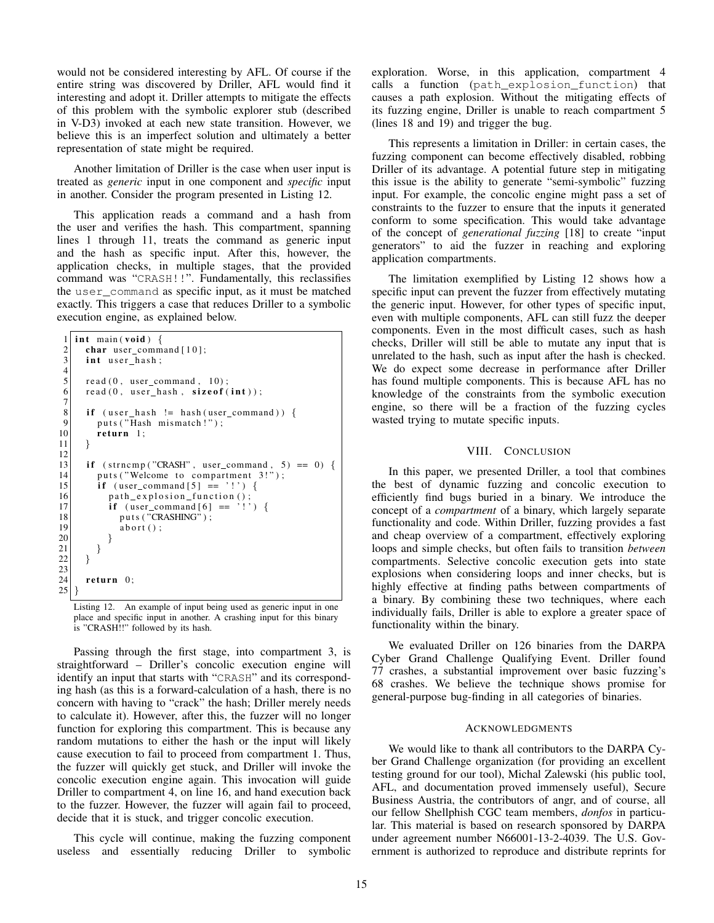would not be considered interesting by AFL. Of course if the entire string was discovered by Driller, AFL would find it interesting and adopt it. Driller attempts to mitigate the effects of this problem with the symbolic explorer stub (described in V-D3) invoked at each new state transition. However, we believe this is an imperfect solution and ultimately a better representation of state might be required.

Another limitation of Driller is the case when user input is treated as *generic* input in one component and *specific* input in another. Consider the program presented in Listing 12.

This application reads a command and a hash from the user and verifies the hash. This compartment, spanning lines 1 through 11, treats the command as generic input and the hash as specific input. After this, however, the application checks, in multiple stages, that the provided command was "CRASH!!". Fundamentally, this reclassifies the user\_command as specific input, as it must be matched exactly. This triggers a case that reduces Driller to a symbolic execution engine, as explained below.

```
1 int main (void) {
 2 char user_command [10];<br>3 int user_hash;
        int user_hash;
 \frac{4}{5}read(0, user_{command}, 10);6 read (0, user\_hash, sizeof(int));\begin{array}{c} 7 \\ 8 \end{array}\begin{array}{ll} 8 & \text{if} \ (\text{user\_hash} != \text{hash}(\text{user\_command})) \\ \text{outs("Hash mismatch!");} \end{array}\begin{bmatrix} 9 \\ 10 \end{bmatrix} puts ("Hash mismatch!");<br>
return 1;
        return 1;<br>}
11 }
12
13 if (strncmp("CRASH", user command, 5) == 0) {
14 puts ("Welcome to compartment 3!");<br>
15 if (user command [5] == '!') {
            if (user_{command}[5] == ' !') {
16 path_explosion_function();
17 \left\{\n \begin{array}{c}\n \text{if} \quad \text{(user\_command[6]} == ' !') \\
 \text{puts} \quad \text{``CRASHING''}\n \end{array}\n \right.\n \right\}puts ("CRASHING");
19 abort ();
20 }
21 }
22 }
23
24 return 0;
25 }
```
Listing 12. An example of input being used as generic input in one place and specific input in another. A crashing input for this binary is "CRASH!!" followed by its hash.

Passing through the first stage, into compartment 3, is straightforward – Driller's concolic execution engine will identify an input that starts with "CRASH" and its corresponding hash (as this is a forward-calculation of a hash, there is no concern with having to "crack" the hash; Driller merely needs to calculate it). However, after this, the fuzzer will no longer function for exploring this compartment. This is because any random mutations to either the hash or the input will likely cause execution to fail to proceed from compartment 1. Thus, the fuzzer will quickly get stuck, and Driller will invoke the concolic execution engine again. This invocation will guide Driller to compartment 4, on line 16, and hand execution back to the fuzzer. However, the fuzzer will again fail to proceed, decide that it is stuck, and trigger concolic execution.

This cycle will continue, making the fuzzing component useless and essentially reducing Driller to symbolic exploration. Worse, in this application, compartment 4 calls a function (path\_explosion\_function) that causes a path explosion. Without the mitigating effects of its fuzzing engine, Driller is unable to reach compartment 5 (lines 18 and 19) and trigger the bug.

This represents a limitation in Driller: in certain cases, the fuzzing component can become effectively disabled, robbing Driller of its advantage. A potential future step in mitigating this issue is the ability to generate "semi-symbolic" fuzzing input. For example, the concolic engine might pass a set of constraints to the fuzzer to ensure that the inputs it generated conform to some specification. This would take advantage of the concept of *generational fuzzing* [18] to create "input generators" to aid the fuzzer in reaching and exploring application compartments.

The limitation exemplified by Listing 12 shows how a specific input can prevent the fuzzer from effectively mutating the generic input. However, for other types of specific input, even with multiple components, AFL can still fuzz the deeper components. Even in the most difficult cases, such as hash checks, Driller will still be able to mutate any input that is unrelated to the hash, such as input after the hash is checked. We do expect some decrease in performance after Driller has found multiple components. This is because AFL has no knowledge of the constraints from the symbolic execution engine, so there will be a fraction of the fuzzing cycles wasted trying to mutate specific inputs.

## VIII. CONCLUSION

In this paper, we presented Driller, a tool that combines the best of dynamic fuzzing and concolic execution to efficiently find bugs buried in a binary. We introduce the concept of a *compartment* of a binary, which largely separate functionality and code. Within Driller, fuzzing provides a fast and cheap overview of a compartment, effectively exploring loops and simple checks, but often fails to transition *between* compartments. Selective concolic execution gets into state explosions when considering loops and inner checks, but is highly effective at finding paths between compartments of a binary. By combining these two techniques, where each individually fails, Driller is able to explore a greater space of functionality within the binary.

We evaluated Driller on 126 binaries from the DARPA Cyber Grand Challenge Qualifying Event. Driller found 77 crashes, a substantial improvement over basic fuzzing's 68 crashes. We believe the technique shows promise for general-purpose bug-finding in all categories of binaries.

#### ACKNOWLEDGMENTS

We would like to thank all contributors to the DARPA Cyber Grand Challenge organization (for providing an excellent testing ground for our tool), Michal Zalewski (his public tool, AFL, and documentation proved immensely useful), Secure Business Austria, the contributors of angr, and of course, all our fellow Shellphish CGC team members, *donfos* in particular. This material is based on research sponsored by DARPA under agreement number N66001-13-2-4039. The U.S. Government is authorized to reproduce and distribute reprints for